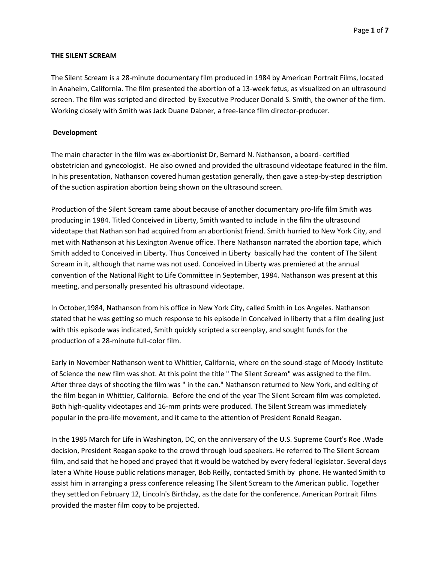### **THE SILENT SCREAM**

The Silent Scream is a 28-minute documentary film produced in 1984 by American Portrait Films, located in Anaheim, California. The film presented the abortion of a 13-week fetus, as visualized on an ultrasound screen. The film was scripted and directed by Executive Producer Donald S. Smith, the owner of the firm. Working closely with Smith was Jack Duane Dabner, a free-lance film director-producer.

### **Development**

The main character in the film was ex-abortionist Dr, Bernard N. Nathanson, a board- certified obstetrician and gynecologist. He also owned and provided the ultrasound videotape featured in the film. In his presentation, Nathanson covered human gestation generally, then gave a step-by-step description of the suction aspiration abortion being shown on the ultrasound screen.

Production of the Silent Scream came about because of another documentary pro-life film Smith was producing in 1984. Titled Conceived in Liberty, Smith wanted to include in the film the ultrasound videotape that Nathan son had acquired from an abortionist friend. Smith hurried to New York City, and met with Nathanson at his Lexington Avenue office. There Nathanson narrated the abortion tape, which Smith added to Conceived in Liberty. Thus Conceived in Liberty basically had the content of The Silent Scream in it, although that name was not used. Conceived in Liberty was premiered at the annual convention of the National Right to Life Committee in September, 1984. Nathanson was present at this meeting, and personally presented his ultrasound videotape.

In October,1984, Nathanson from his office in New York City, called Smith in Los Angeles. Nathanson stated that he was getting so much response to his episode in Conceived in liberty that a film dealing just with this episode was indicated, Smith quickly scripted a screenplay, and sought funds for the production of a 28-minute full-color film.

Early in November Nathanson went to Whittier, California, where on the sound-stage of Moody Institute of Science the new film was shot. At this point the title " The Silent Scream" was assigned to the film. After three days of shooting the film was " in the can." Nathanson returned to New York, and editing of the film began in Whittier, California. Before the end of the year The Silent Scream film was completed. Both high-quality videotapes and 16-mm prints were produced. The Silent Scream was immediately popular in the pro-life movement, and it came to the attention of President Ronald Reagan.

In the 1985 March for Life in Washington, DC, on the anniversary of the U.S. Supreme Court's Roe .Wade decision, President Reagan spoke to the crowd through loud speakers. He referred to The Silent Scream film, and said that he hoped and prayed that it would be watched by every federal legislator. Several days later a White House public relations manager, Bob Reilly, contacted Smith by phone. He wanted Smith to assist him in arranging a press conference releasing The Silent Scream to the American public. Together they settled on February 12, Lincoln's Birthday, as the date for the conference. American Portrait Films provided the master film copy to be projected.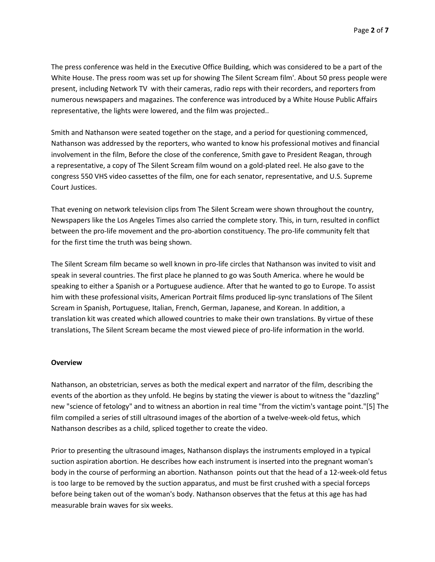The press conference was held in the Executive Office Building, which was considered to be a part of the White House. The press room was set up for showing The Silent Scream film'. About 50 press people were present, including Network TV with their cameras, radio reps with their recorders, and reporters from numerous newspapers and magazines. The conference was introduced by a White House Public Affairs representative, the lights were lowered, and the film was projected..

Smith and Nathanson were seated together on the stage, and a period for questioning commenced, Nathanson was addressed by the reporters, who wanted to know his professional motives and financial involvement in the film, Before the close of the conference, Smith gave to President Reagan, through a representative, a copy of The Silent Scream film wound on a gold-plated reel. He also gave to the congress 550 VHS video cassettes of the film, one for each senator, representative, and U.S. Supreme Court Justices.

That evening on network television clips from The Silent Scream were shown throughout the country, Newspapers like the Los Angeles Times also carried the complete story. This, in turn, resulted in conflict between the pro-life movement and the pro-abortion constituency. The pro-life community felt that for the first time the truth was being shown.

The Silent Scream film became so well known in pro-life circles that Nathanson was invited to visit and speak in several countries. The first place he planned to go was South America. where he would be speaking to either a Spanish or a Portuguese audience. After that he wanted to go to Europe. To assist him with these professional visits, American Portrait films produced lip-sync translations of The Silent Scream in Spanish, Portuguese, Italian, French, German, Japanese, and Korean. In addition, a translation kit was created which allowed countries to make their own translations. By virtue of these translations, The Silent Scream became the most viewed piece of pro-life information in the world.

#### **Overview**

Nathanson, an obstetrician, serves as both the medical expert and narrator of the film, describing the events of the abortion as they unfold. He begins by stating the viewer is about to witness the "dazzling" new "science of fetology" and to witness an abortion in real time "from the victim's vantage point."[5] The film compiled a series of still ultrasound images of the abortion of a twelve-week-old fetus, which Nathanson describes as a child, spliced together to create the video.

Prior to presenting the ultrasound images, Nathanson displays the instruments employed in a typical suction aspiration abortion. He describes how each instrument is inserted into the pregnant woman's body in the course of performing an abortion. Nathanson points out that the head of a 12-week-old fetus is too large to be removed by the suction apparatus, and must be first crushed with a special forceps before being taken out of the woman's body. Nathanson observes that the fetus at this age has had measurable brain waves for six weeks.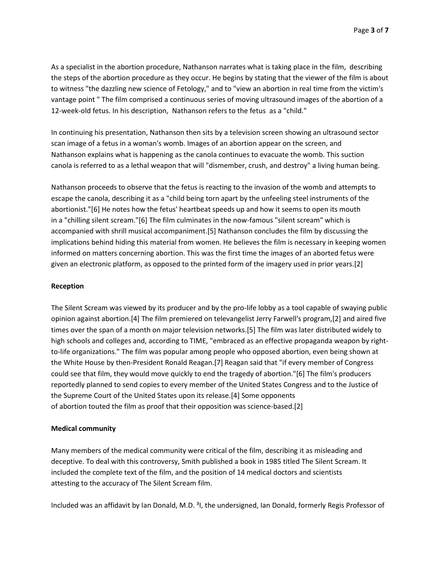As a specialist in the abortion procedure, Nathanson narrates what is taking place in the film, describing the steps of the abortion procedure as they occur. He begins by stating that the viewer of the film is about to witness "the dazzling new science of Fetology," and to "view an abortion in real time from the victim's vantage point " The film comprised a continuous series of moving ultrasound images of the abortion of a 12-week-old fetus. In his description, Nathanson refers to the fetus as a "child."

In continuing his presentation, Nathanson then sits by a television screen showing an ultrasound sector scan image of a fetus in a woman's womb. Images of an abortion appear on the screen, and Nathanson explains what is happening as the canola continues to evacuate the womb. This suction canola is referred to as a lethal weapon that will "dismember, crush, and destroy" a living human being.

Nathanson proceeds to observe that the fetus is reacting to the invasion of the womb and attempts to escape the canola, describing it as a "child being torn apart by the unfeeling steel instruments of the abortionist."[6] He notes how the fetus' heartbeat speeds up and how it seems to open its mouth in a "chilling silent scream."[6] The film culminates in the now-famous "silent scream" which is accompanied with shrill musical accompaniment.[5] Nathanson concludes the film by discussing the implications behind hiding this material from women. He believes the film is necessary in keeping women informed on matters concerning abortion. This was the first time the images of an aborted fetus were given an electronic platform, as opposed to the printed form of the imagery used in prior years.[2]

#### **Reception**

The Silent Scream was viewed by its producer and by the pro-life lobby as a tool capable of swaying public opinion against abortion.[4] The film premiered on televangelist Jerry Farwell's program,[2] and aired five times over the span of a month on major television networks.[5] The film was later distributed widely to high schools and colleges and, according to TIME, "embraced as an effective propaganda weapon by rightto-life organizations." The film was popular among people who opposed abortion, even being shown at the White House by then-President Ronald Reagan.[7] Reagan said that "if every member of Congress could see that film, they would move quickly to end the tragedy of abortion."[6] The film's producers reportedly planned to send copies to every member of the United States Congress and to the Justice of the Supreme Court of the United States upon its release.[4] Some opponents of abortion touted the film as proof that their opposition was science-based.[2]

#### **Medical community**

Many members of the medical community were critical of the film, describing it as misleading and deceptive. To deal with this controversy, Smith published a book in 1985 titled The Silent Scream. It included the complete text of the film, and the position of 14 medical doctors and scientists attesting to the accuracy of The Silent Scream film.

Included was an affidavit by Ian Donald, M.D.<sup>3</sup>I, the undersigned, Ian Donald, formerly Regis Professor of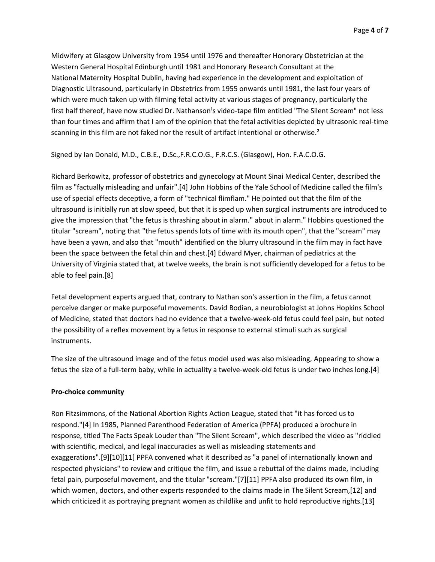Midwifery at Glasgow University from 1954 until 1976 and thereafter Honorary Obstetrician at the Western General Hospital Edinburgh until 1981 and Honorary Research Consultant at the National Maternity Hospital Dublin, having had experience in the development and exploitation of Diagnostic Ultrasound, particularly in Obstetrics from 1955 onwards until 1981, the last four years of which were much taken up with filming fetal activity at various stages of pregnancy, particularly the first half thereof, have now studied Dr. Nathanson<sup>1</sup>s video-tape film entitled "The Silent Scream" not less than four times and affirm that I am of the opinion that the fetal activities depicted by ultrasonic real-time scanning in this film are not faked nor the result of artifact intentional or otherwise.<sup>2</sup>

Signed by Ian Donald, M.D., C.B.E., D.Sc.,F.R.C.O.G., F.R.C.S. (Glasgow), Hon. F.A.C.O.G.

Richard Berkowitz, professor of obstetrics and gynecology at Mount Sinai Medical Center, described the film as "factually misleading and unfair".[4] John Hobbins of the Yale School of Medicine called the film's use of special effects deceptive, a form of "technical flimflam." He pointed out that the film of the ultrasound is initially run at slow speed, but that it is sped up when surgical instruments are introduced to give the impression that "the fetus is thrashing about in alarm." about in alarm." Hobbins questioned the titular "scream", noting that "the fetus spends lots of time with its mouth open", that the "scream" may have been a yawn, and also that "mouth" identified on the blurry ultrasound in the film may in fact have been the space between the fetal chin and chest.[4] Edward Myer, chairman of pediatrics at the University of Virginia stated that, at twelve weeks, the brain is not sufficiently developed for a fetus to be able to feel pain.[8]

Fetal development experts argued that, contrary to Nathan son's assertion in the film, a fetus cannot perceive danger or make purposeful movements. David Bodian, a neurobiologist at Johns Hopkins School of Medicine, stated that doctors had no evidence that a twelve-week-old fetus could feel pain, but noted the possibility of a reflex movement by a fetus in response to external stimuli such as surgical instruments.

The size of the ultrasound image and of the fetus model used was also misleading, Appearing to show a fetus the size of a full-term baby, while in actuality a twelve-week-old fetus is under two inches long.[4]

#### **Pro-choice community**

Ron Fitzsimmons, of the National Abortion Rights Action League, stated that "it has forced us to respond."[4] In 1985, Planned Parenthood Federation of America (PPFA) produced a brochure in response, titled The Facts Speak Louder than "The Silent Scream", which described the video as "riddled with scientific, medical, and legal inaccuracies as well as misleading statements and exaggerations".[9][10][11] PPFA convened what it described as "a panel of internationally known and respected physicians" to review and critique the film, and issue a rebuttal of the claims made, including fetal pain, purposeful movement, and the titular "scream."[7][11] PPFA also produced its own film, in which women, doctors, and other experts responded to the claims made in The Silent Scream,[12] and which criticized it as portraying pregnant women as childlike and unfit to hold reproductive rights.[13]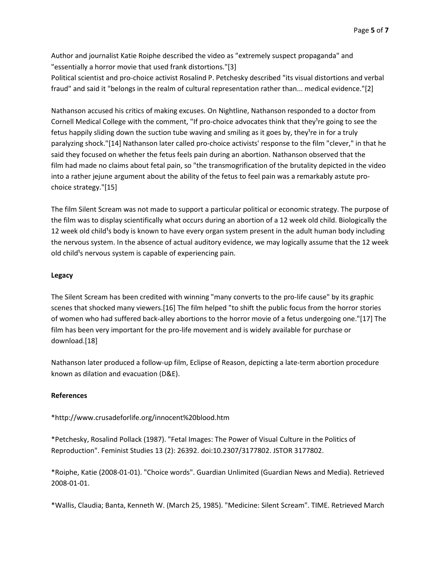Author and journalist Katie Roiphe described the video as "extremely suspect propaganda" and "essentially a horror movie that used frank distortions."[3]

Political scientist and pro-choice activist Rosalind P. Petchesky described "its visual distortions and verbal fraud" and said it "belongs in the realm of cultural representation rather than... medical evidence."[2]

Nathanson accused his critics of making excuses. On Nightline, Nathanson responded to a doctor from Cornell Medical College with the comment, "If pro-choice advocates think that they<sup>1</sup>re going to see the fetus happily sliding down the suction tube waving and smiling as it goes by, they<sup>1</sup>re in for a truly paralyzing shock."[14] Nathanson later called pro-choice activists' response to the film "clever," in that he said they focused on whether the fetus feels pain during an abortion. Nathanson observed that the film had made no claims about fetal pain, so "the transmogrification of the brutality depicted in the video into a rather jejune argument about the ability of the fetus to feel pain was a remarkably astute prochoice strategy."[15]

The film Silent Scream was not made to support a particular political or economic strategy. The purpose of the film was to display scientifically what occurs during an abortion of a 12 week old child. Biologically the 12 week old child<sup>1</sup>s body is known to have every organ system present in the adult human body including the nervous system. In the absence of actual auditory evidence, we may logically assume that the 12 week old child<sup>1</sup>s nervous system is capable of experiencing pain.

## **Legacy**

The Silent Scream has been credited with winning "many converts to the pro-life cause" by its graphic scenes that shocked many viewers.[16] The film helped "to shift the public focus from the horror stories of women who had suffered back-alley abortions to the horror movie of a fetus undergoing one."[17] The film has been very important for the pro-life movement and is widely available for purchase or download.[18]

Nathanson later produced a follow-up film, Eclipse of Reason, depicting a late-term abortion procedure known as dilation and evacuation (D&E).

# **References**

# \*http://www.crusadeforlife.org/innocent%20blood.htm

\*Petchesky, Rosalind Pollack (1987). "Fetal Images: The Power of Visual Culture in the Politics of Reproduction". Feminist Studies 13 (2): 26392. doi:10.2307/3177802. JSTOR 3177802.

\*Roiphe, Katie (2008-01-01). "Choice words". Guardian Unlimited (Guardian News and Media). Retrieved 2008-01-01.

\*Wallis, Claudia; Banta, Kenneth W. (March 25, 1985). "Medicine: Silent Scream". TIME. Retrieved March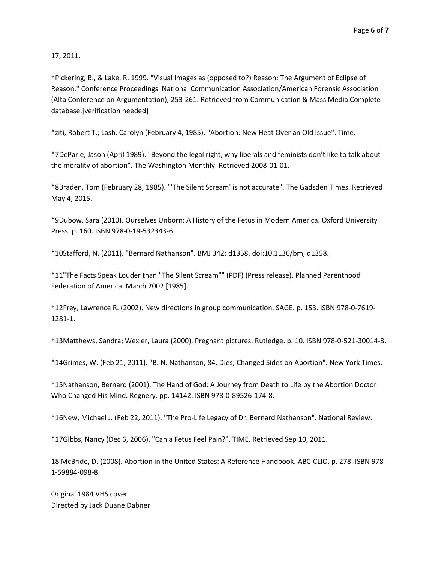17, 2011.

\*Pickering, B., & Lake, R. 1999. "Visual Images as (opposed to?) Reason: The Argument of Eclipse of Reason." Conference Proceedings National Communication Association/American Forensic Association (Alta Conference on Argumentation), 253-261. Retrieved from Communication & Mass Media Complete database.[verification needed]

\*ziti, Robert T.; Lash, Carolyn (February 4, 1985). "Abortion: New Heat Over an Old Issue". Time.

\*7DeParle, Jason (April 1989). "Beyond the legal right; why liberals and feminists don't like to talk about the morality of abortion". The Washington Monthly. Retrieved 2008-01-01.

\*8Braden, Tom (February 28, 1985). "'The Silent Scream' is not accurate". The Gadsden Times. Retrieved May 4, 2015.

\*9Dubow, Sara (2010). Ourselves Unborn: A History of the Fetus in Modern America. Oxford University Press. p. 160. ISBN 978-0-19-532343-6.

\*10Stafford, N. (2011). "Bernard Nathanson". BMJ 342: d1358. doi:10.1136/bmj.d1358.

\*11"The Facts Speak Louder than "The Silent Scream"" (PDF) (Press release). Planned Parenthood Federation of America. March 2002 [1985].

\*12Frey, Lawrence R. (2002). New directions in group communication. SAGE. p. 153. ISBN 978-0-7619- 1281-1.

\*13Matthews, Sandra; Wexler, Laura (2000). Pregnant pictures. Rutledge. p. 10. ISBN 978-0-521-30014-8.

\*14Grimes, W. (Feb 21, 2011). "B. N. Nathanson, 84, Dies; Changed Sides on Abortion". New York Times.

\*15Nathanson, Bernard (2001). The Hand of God: A Journey from Death to Life by the Abortion Doctor Who Changed His Mind. Regnery. pp. 14142. ISBN 978-0-89526-174-8.

\*16New, Michael J. (Feb 22, 2011). "The Pro-Life Legacy of Dr. Bernard Nathanson". National Review.

\*17Gibbs, Nancy (Dec 6, 2006). "Can a Fetus Feel Pain?". TIME. Retrieved Sep 10, 2011.

18.McBride, D. (2008). Abortion in the United States: A Reference Handbook. ABC-CLIO. p. 278. ISBN 978- 1-59884-098-8.

Original 1984 VHS cover Directed by Jack Duane Dabner